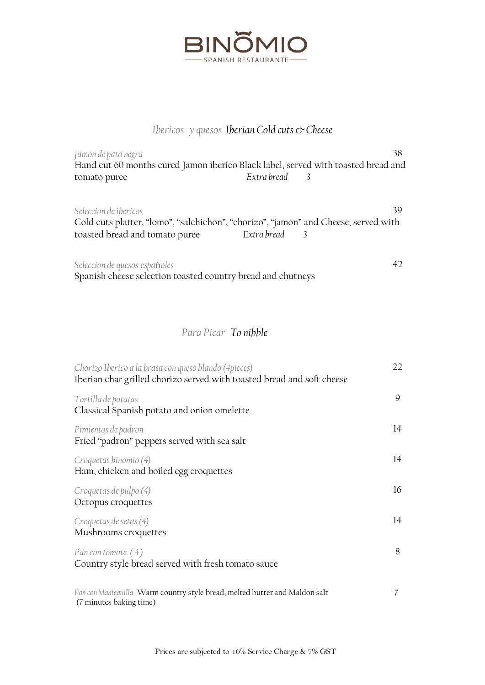

## *Ibericos* y quesos Iberian Cold cuts & Cheese

| Jamon de pata negra                                                                 |               | 38 |
|-------------------------------------------------------------------------------------|---------------|----|
| Hand cut 60 months cured Jamon iberico Black label, served with toasted bread and   |               |    |
| tomato puree                                                                        | Extra bread   |    |
|                                                                                     |               |    |
| Seleccion de ibericos                                                               |               | 39 |
| Cold cuts platter, "lomo", "salchichon", "chorizo", "jamon" and Cheese, served with |               |    |
| toasted bread and tomato puree                                                      | Extra bread 3 |    |
|                                                                                     |               |    |
| Seleccion de quesos españoles                                                       |               |    |

Spanish cheese selection toasted country bread and chutneys

## *Para Picar To nibble*

| Chorizo Iberico a la brasa con queso blando (4 pieces)<br>Iberian char grilled chorizo served with toasted bread and soft cheese | 22 |
|----------------------------------------------------------------------------------------------------------------------------------|----|
| Tortilla de patatas<br>Classical Spanish potato and onion omelette                                                               | 9  |
| Pimientos de padron<br>Fried "padron" peppers served with sea salt                                                               | 14 |
| Croquetas binomio (4)<br>Ham, chicken and boiled egg croquettes                                                                  | 14 |
| Croquetas de pulpo (4)<br>Octopus croquettes                                                                                     | 16 |
| Croquetas de setas (4)<br>Mushrooms croquettes                                                                                   | 14 |
| Pan con tomate $(4)$<br>Country style bread served with fresh tomato sauce                                                       | 8  |
| Pan con Mantequilla Warm country style bread, melted butter and Maldon salt<br>(7 minutes baking time)                           | 7  |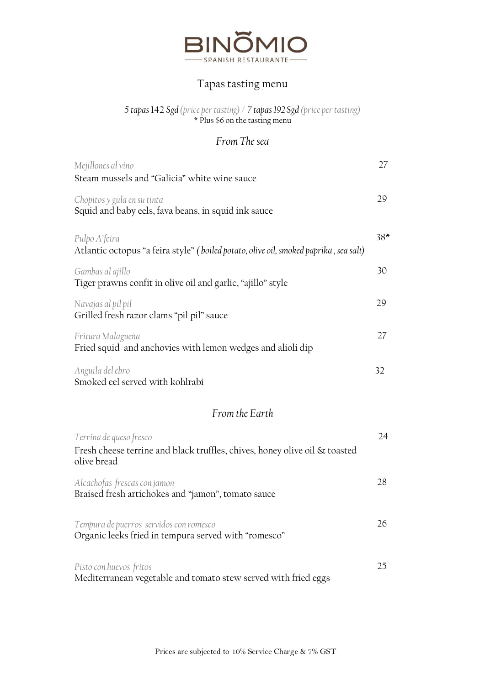

### Tapas tasting menu

*5 tapas* 142 *Sgd (price per tasting) / 7 tapas 192 Sgd (price per tasting)* \* Plus \$6 on the tasting menu

### *From The sea*

| Mejillones al vino                                                                                                   | 27    |
|----------------------------------------------------------------------------------------------------------------------|-------|
| Steam mussels and "Galicia" white wine sauce                                                                         |       |
| Chopitos y gula en su tinta<br>Squid and baby eels, fava beans, in squid ink sauce                                   | 29    |
| Pulpo A'feira<br>Atlantic octopus "a feira style" (boiled potato, olive oil, smoked paprika, sea salt)               | $38*$ |
| Gambas al ajillo<br>Tiger prawns confit in olive oil and garlic, "ajillo" style                                      | 30    |
| Navajas al pil pil<br>Grilled fresh razor clams "pil pil" sauce                                                      | 29    |
| Fritura Malagueña<br>Fried squid and anchovies with lemon wedges and alioli dip                                      | 27    |
| Anguila del ebro<br>Smoked eel served with kohlrabi                                                                  | 32    |
| From the Earth                                                                                                       |       |
| Terrina de queso fresco<br>Fresh cheese terrine and black truffles, chives, honey olive oil & toasted<br>olive bread | 24    |
| Alcachofas frescas con jamon<br>Braised fresh artichokes and "jamon", tomato sauce                                   | 28    |
| Tempura de puerros servidos con romesco<br>Organic leeks fried in tempura served with "romesco"                      | 26    |
|                                                                                                                      |       |

*Pisto con huevos fritos* Mediterranean vegetable and tomato stew served with fried eggs 25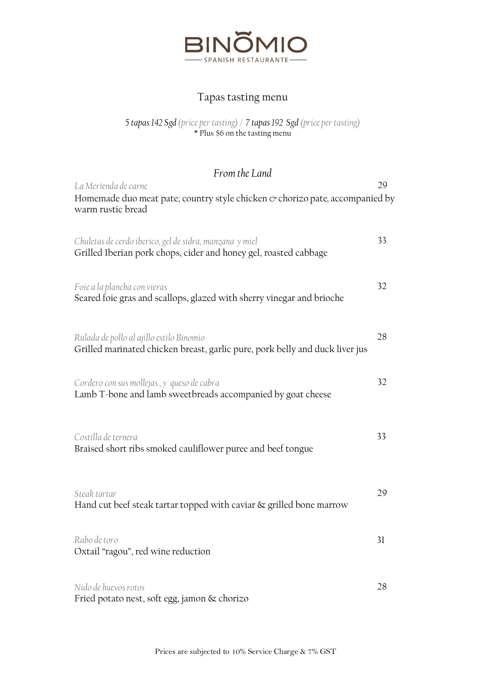

# Tapas tasting menu

#### *5 tapas 142 Sgd (price per tasting) / 7 tapas 192 Sgd (price per tasting)* \* Plus \$6 on the tasting menu

*From the Land*

| La Merienda de carne                                                                                                        | 29 |
|-----------------------------------------------------------------------------------------------------------------------------|----|
| Homemade duo meat pate; country style chicken & chorizo pate, accompanied by<br>warm rustic bread                           |    |
| Chuletas de cerdo iberico, gel de sidra, manzana y miel<br>Grilled Iberian pork chops, cider and honey gel, roasted cabbage | 33 |
| Foie a la plancha con vieras<br>Seared foie gras and scallops, glazed with sherry vinegar and brioche                       | 32 |
| Rulada de pollo al ajillo estilo Binomio<br>Grilled marinated chicken breast, garlic pure, pork belly and duck liver jus    | 28 |
| Cordero con sus mollejas, y queso de cabra<br>Lamb T-bone and lamb sweetbreads accompanied by goat cheese                   | 32 |
| Costilla de ternera<br>Braised short ribs smoked cauliflower puree and beef tongue                                          | 33 |
| Steak tartar<br>Hand cut beef steak tartar topped with caviar & grilled bone marrow                                         | 29 |
| Rabo de toro<br>Oxtail "ragou", red wine reduction                                                                          | 31 |
| Nido de huevos rotos<br>Fried potato nest, soft egg, jamon & chorizo                                                        | 28 |